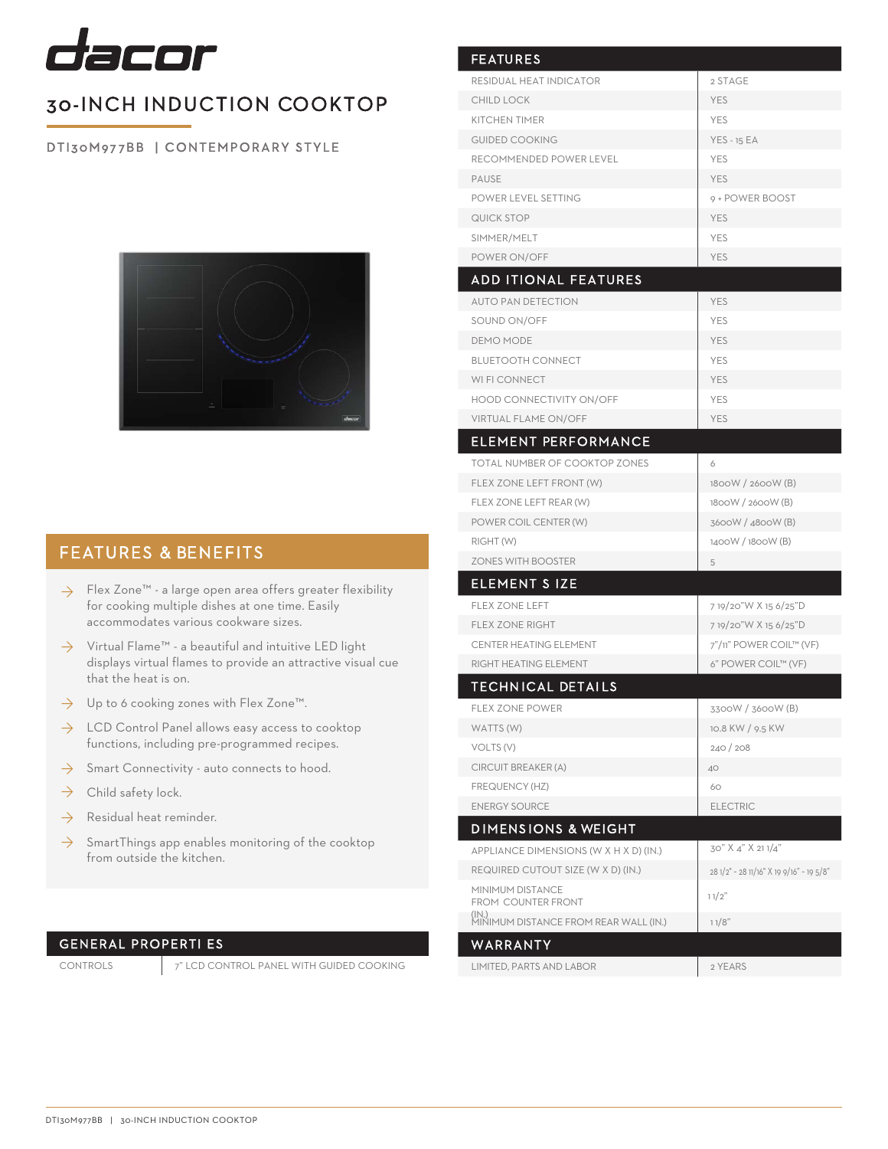

## 30-INCH INDUCTION COOKTOP

DTI30M977BB | CONTEMPORARY STYLE



### FEATURES & BENEFITS

- Flex Zone™ a large open area offers greater flexibility ◊ for cooking multiple dishes at one time. Easily accommodates various cookware sizes.
- $\rightarrow$  Virtual Flame™ a beautiful and intuitive LED light displays virtual flames to provide an attractive visual cue that the heat is on.
- $\rightarrow$  Up to 6 cooking zones with Flex Zone™.
- $\rightarrow$  LCD Control Panel allows easy access to cooktop functions, including pre-programmed recipes.
- Smart Connectivity auto connects to hood. ◊
- Child safety lock. ◊
- Residual heat reminder. ◊
- $\rightarrow$  SmartThings app enables monitoring of the cooktop from outside the kitchen.

### GENERAL PROPERTI ES

CONTROLS 7" LCD CONTROL PANEL WITH GUIDED COOKING

| <b>FEATURES</b>                                                      |                                          |
|----------------------------------------------------------------------|------------------------------------------|
| <b>RESIDUAL HEAT INDICATOR</b>                                       | 2 STAGE                                  |
| <b>CHILD LOCK</b>                                                    | <b>YES</b>                               |
| <b>KITCHEN TIMER</b>                                                 | <b>YES</b>                               |
| <b>GUIDED COOKING</b>                                                | <b>YES - 15 EA</b>                       |
| RECOMMENDED POWER LEVEL                                              | <b>YES</b>                               |
| <b>PAUSE</b>                                                         | <b>YES</b>                               |
| POWER LEVEL SETTING                                                  | 9 + POWER BOOST                          |
| QUICK STOP                                                           | <b>YES</b>                               |
| SIMMER/MELT                                                          | <b>YES</b>                               |
| POWER ON/OFF                                                         | <b>YES</b>                               |
| <b>ADD ITIONAL FEATURES</b>                                          |                                          |
| <b>AUTO PAN DETECTION</b>                                            | <b>YES</b>                               |
| SOUND ON/OFF                                                         | <b>YES</b>                               |
| <b>DEMO MODE</b>                                                     | <b>YES</b>                               |
| <b>BLUETOOTH CONNECT</b>                                             | <b>YES</b>                               |
| WI FI CONNECT                                                        | YES                                      |
| <b>HOOD CONNECTIVITY ON/OFF</b>                                      | <b>YES</b>                               |
| VIRTUAL FLAME ON/OFF                                                 | <b>YES</b>                               |
| <b>ELEMENT PERFORMANCE</b>                                           |                                          |
| TOTAL NUMBER OF COOKTOP ZONES                                        | 6                                        |
| FLEX ZONE LEFT FRONT (W)                                             | 1800W / 2600W (B)                        |
| FLEX ZONE LEFT REAR (W)                                              | 1800W / 2600W (B)                        |
| POWER COIL CENTER (W)                                                | 3600W / 4800W (B)                        |
| RIGHT (W)                                                            | 1400W / 1800W (B)                        |
| <b>ZONES WITH BOOSTER</b>                                            | 5                                        |
| <b>ELEMENT SIZE</b>                                                  |                                          |
| <b>FLEX ZONE LEFT</b>                                                | 7 19/20"W X 15 6/25"D                    |
| <b>FLEX ZONE RIGHT</b>                                               | 7 19/20"W X 15 6/25"D                    |
| <b>CENTER HEATING ELEMENT</b>                                        | 7"/11" POWER COIL™ (VF)                  |
| RIGHT HEATING ELEMENT                                                | 6" POWER COIL™ (VF)                      |
| <b>TECHNICAL DETAILS</b>                                             |                                          |
| FLEX ZONE POWER                                                      | 3300W / 3600W (B)                        |
| WATTS (W)                                                            | 10.8 KW / 9.5 KW                         |
| VOLTS (V)                                                            | 240/208                                  |
| CIRCUIT BREAKER (A)                                                  | 40                                       |
| FREQUENCY (HZ)                                                       | 60                                       |
| <b>ENERGY SOURCE</b>                                                 | <b>ELECTRIC</b>                          |
| <b>DIMENSIONS &amp; WEIGHT</b>                                       |                                          |
| APPLIANCE DIMENSIONS (W X H X D) (IN.)                               | 30" X 4" X 21 1/4"                       |
| REQUIRED CUTOUT SIZE (W X D) (IN.)                                   | 28 1/2" ~ 28 11/16" X 19 9/16" ~ 19 5/8" |
| <b>MINIMUM DISTANCE</b>                                              | 11/2"                                    |
| FROM COUNTER FRONT<br>(IN.)<br>MINIMUM DISTANCE FROM REAR WALL (IN.) |                                          |
|                                                                      | 11/8"                                    |
| WARRANTY                                                             |                                          |
| LIMITED, PARTS AND LABOR                                             | 2 YEARS                                  |